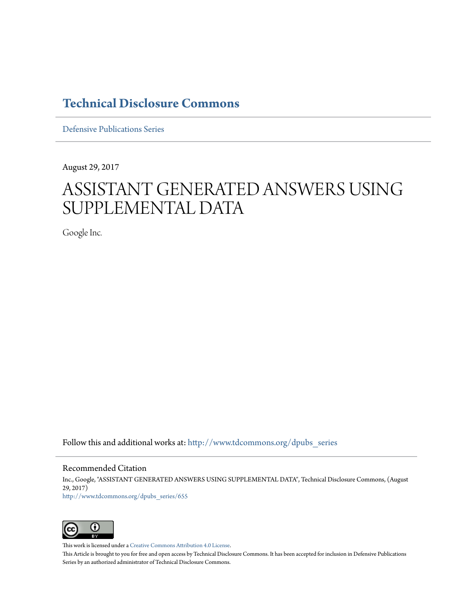# **[Technical Disclosure Commons](http://www.tdcommons.org?utm_source=www.tdcommons.org%2Fdpubs_series%2F655&utm_medium=PDF&utm_campaign=PDFCoverPages)**

[Defensive Publications Series](http://www.tdcommons.org/dpubs_series?utm_source=www.tdcommons.org%2Fdpubs_series%2F655&utm_medium=PDF&utm_campaign=PDFCoverPages)

August 29, 2017

# ASSISTANT GENERATED ANSWERS USING SUPPLEMENTAL DATA

Google Inc.

Follow this and additional works at: [http://www.tdcommons.org/dpubs\\_series](http://www.tdcommons.org/dpubs_series?utm_source=www.tdcommons.org%2Fdpubs_series%2F655&utm_medium=PDF&utm_campaign=PDFCoverPages)

Recommended Citation

Inc., Google, "ASSISTANT GENERATED ANSWERS USING SUPPLEMENTAL DATA", Technical Disclosure Commons, (August 29, 2017) [http://www.tdcommons.org/dpubs\\_series/655](http://www.tdcommons.org/dpubs_series/655?utm_source=www.tdcommons.org%2Fdpubs_series%2F655&utm_medium=PDF&utm_campaign=PDFCoverPages)



This work is licensed under a [Creative Commons Attribution 4.0 License.](http://creativecommons.org/licenses/by/4.0/deed.en_US)

This Article is brought to you for free and open access by Technical Disclosure Commons. It has been accepted for inclusion in Defensive Publications Series by an authorized administrator of Technical Disclosure Commons.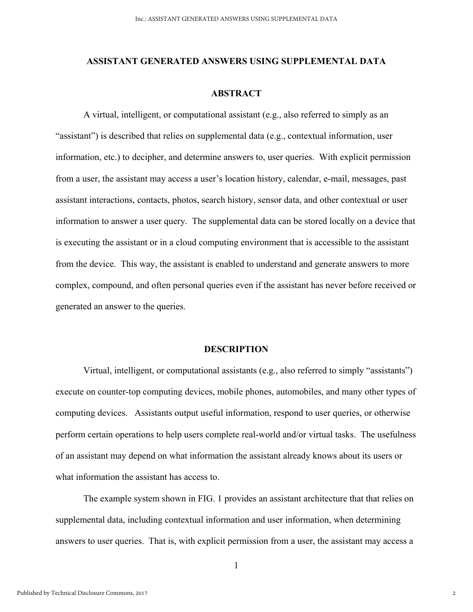#### **ASSISTANT GENERATED ANSWERS USING SUPPLEMENTAL DATA**

## **ABSTRACT**

 A virtual, intelligent, or computational assistant (e.g., also referred to simply as an "assistant") is described that relies on supplemental data (e.g., contextual information, user information, etc.) to decipher, and determine answers to, user queries. With explicit permission from a user, the assistant may access a user's location history, calendar, e-mail, messages, past assistant interactions, contacts, photos, search history, sensor data, and other contextual or user information to answer a user query. The supplemental data can be stored locally on a device that is executing the assistant or in a cloud computing environment that is accessible to the assistant from the device. This way, the assistant is enabled to understand and generate answers to more complex, compound, and often personal queries even if the assistant has never before received or generated an answer to the queries.

## **DESCRIPTION**

 Virtual, intelligent, or computational assistants (e.g., also referred to simply "assistants") execute on counter-top computing devices, mobile phones, automobiles, and many other types of computing devices. Assistants output useful information, respond to user queries, or otherwise perform certain operations to help users complete real-world and/or virtual tasks. The usefulness of an assistant may depend on what information the assistant already knows about its users or what information the assistant has access to.

The example system shown in FIG. 1 provides an assistant architecture that that relies on supplemental data, including contextual information and user information, when determining answers to user queries. That is, with explicit permission from a user, the assistant may access a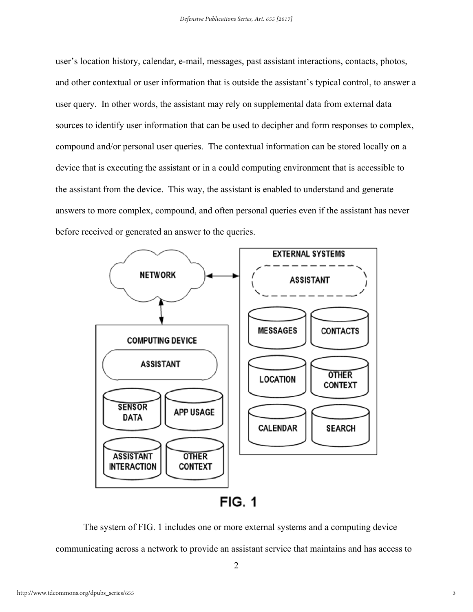user's location history, calendar, e-mail, messages, past assistant interactions, contacts, photos, and other contextual or user information that is outside the assistant's typical control, to answer a user query. In other words, the assistant may rely on supplemental data from external data sources to identify user information that can be used to decipher and form responses to complex, compound and/or personal user queries. The contextual information can be stored locally on a device that is executing the assistant or in a could computing environment that is accessible to the assistant from the device. This way, the assistant is enabled to understand and generate answers to more complex, compound, and often personal queries even if the assistant has never before received or generated an answer to the queries.



The system of FIG. 1 includes one or more external systems and a computing device communicating across a network to provide an assistant service that maintains and has access to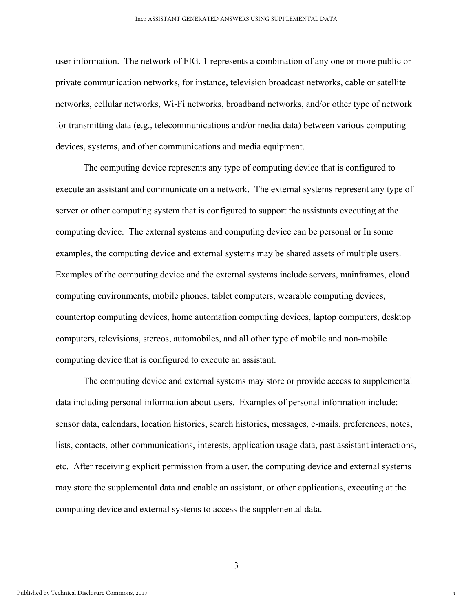user information. The network of FIG. 1 represents a combination of any one or more public or private communication networks, for instance, television broadcast networks, cable or satellite networks, cellular networks, Wi-Fi networks, broadband networks, and/or other type of network for transmitting data (e.g., telecommunications and/or media data) between various computing devices, systems, and other communications and media equipment.

The computing device represents any type of computing device that is configured to execute an assistant and communicate on a network. The external systems represent any type of server or other computing system that is configured to support the assistants executing at the computing device. The external systems and computing device can be personal or In some examples, the computing device and external systems may be shared assets of multiple users. Examples of the computing device and the external systems include servers, mainframes, cloud computing environments, mobile phones, tablet computers, wearable computing devices, countertop computing devices, home automation computing devices, laptop computers, desktop computers, televisions, stereos, automobiles, and all other type of mobile and non-mobile computing device that is configured to execute an assistant.

The computing device and external systems may store or provide access to supplemental data including personal information about users. Examples of personal information include: sensor data, calendars, location histories, search histories, messages, e-mails, preferences, notes, lists, contacts, other communications, interests, application usage data, past assistant interactions, etc. After receiving explicit permission from a user, the computing device and external systems may store the supplemental data and enable an assistant, or other applications, executing at the computing device and external systems to access the supplemental data.

3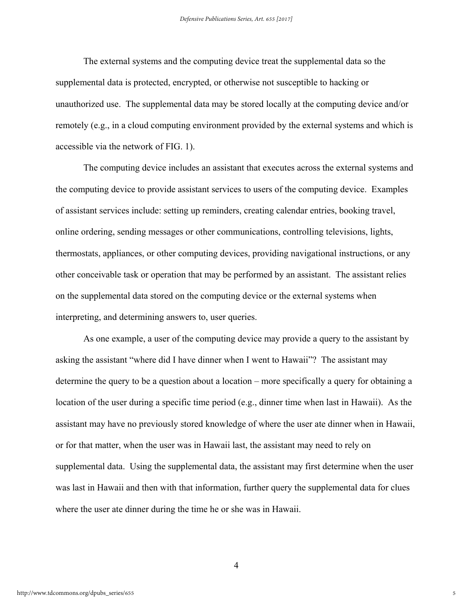The external systems and the computing device treat the supplemental data so the supplemental data is protected, encrypted, or otherwise not susceptible to hacking or unauthorized use. The supplemental data may be stored locally at the computing device and/or remotely (e.g., in a cloud computing environment provided by the external systems and which is accessible via the network of FIG. 1).

The computing device includes an assistant that executes across the external systems and the computing device to provide assistant services to users of the computing device. Examples of assistant services include: setting up reminders, creating calendar entries, booking travel, online ordering, sending messages or other communications, controlling televisions, lights, thermostats, appliances, or other computing devices, providing navigational instructions, or any other conceivable task or operation that may be performed by an assistant. The assistant relies on the supplemental data stored on the computing device or the external systems when interpreting, and determining answers to, user queries.

As one example, a user of the computing device may provide a query to the assistant by asking the assistant "where did I have dinner when I went to Hawaii"? The assistant may determine the query to be a question about a location – more specifically a query for obtaining a location of the user during a specific time period (e.g., dinner time when last in Hawaii). As the assistant may have no previously stored knowledge of where the user ate dinner when in Hawaii, or for that matter, when the user was in Hawaii last, the assistant may need to rely on supplemental data. Using the supplemental data, the assistant may first determine when the user was last in Hawaii and then with that information, further query the supplemental data for clues where the user ate dinner during the time he or she was in Hawaii.

4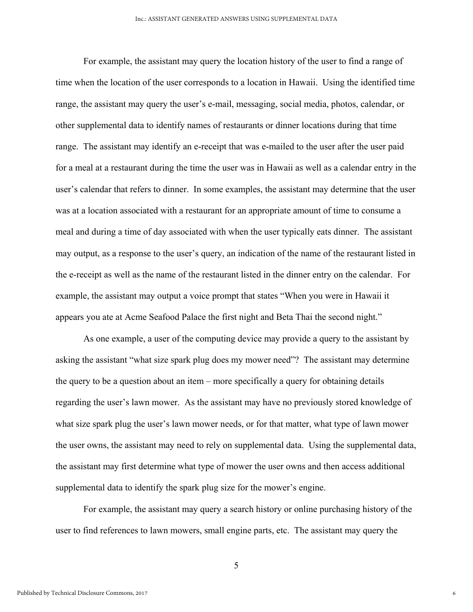For example, the assistant may query the location history of the user to find a range of time when the location of the user corresponds to a location in Hawaii. Using the identified time range, the assistant may query the user's e-mail, messaging, social media, photos, calendar, or other supplemental data to identify names of restaurants or dinner locations during that time range. The assistant may identify an e-receipt that was e-mailed to the user after the user paid for a meal at a restaurant during the time the user was in Hawaii as well as a calendar entry in the user's calendar that refers to dinner. In some examples, the assistant may determine that the user was at a location associated with a restaurant for an appropriate amount of time to consume a meal and during a time of day associated with when the user typically eats dinner. The assistant may output, as a response to the user's query, an indication of the name of the restaurant listed in the e-receipt as well as the name of the restaurant listed in the dinner entry on the calendar. For example, the assistant may output a voice prompt that states "When you were in Hawaii it appears you ate at Acme Seafood Palace the first night and Beta Thai the second night."

As one example, a user of the computing device may provide a query to the assistant by asking the assistant "what size spark plug does my mower need"? The assistant may determine the query to be a question about an item – more specifically a query for obtaining details regarding the user's lawn mower. As the assistant may have no previously stored knowledge of what size spark plug the user's lawn mower needs, or for that matter, what type of lawn mower the user owns, the assistant may need to rely on supplemental data. Using the supplemental data, the assistant may first determine what type of mower the user owns and then access additional supplemental data to identify the spark plug size for the mower's engine.

For example, the assistant may query a search history or online purchasing history of the user to find references to lawn mowers, small engine parts, etc. The assistant may query the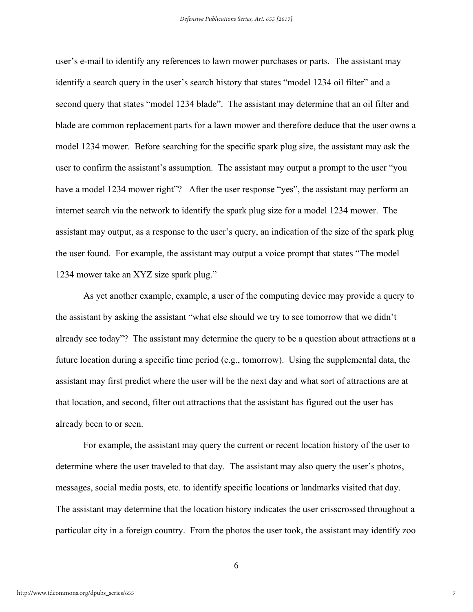user's e-mail to identify any references to lawn mower purchases or parts. The assistant may identify a search query in the user's search history that states "model 1234 oil filter" and a second query that states "model 1234 blade". The assistant may determine that an oil filter and blade are common replacement parts for a lawn mower and therefore deduce that the user owns a model 1234 mower. Before searching for the specific spark plug size, the assistant may ask the user to confirm the assistant's assumption. The assistant may output a prompt to the user "you have a model 1234 mower right"? After the user response "yes", the assistant may perform an internet search via the network to identify the spark plug size for a model 1234 mower. The assistant may output, as a response to the user's query, an indication of the size of the spark plug the user found. For example, the assistant may output a voice prompt that states "The model 1234 mower take an XYZ size spark plug."

As yet another example, example, a user of the computing device may provide a query to the assistant by asking the assistant "what else should we try to see tomorrow that we didn't already see today"? The assistant may determine the query to be a question about attractions at a future location during a specific time period (e.g., tomorrow). Using the supplemental data, the assistant may first predict where the user will be the next day and what sort of attractions are at that location, and second, filter out attractions that the assistant has figured out the user has already been to or seen.

For example, the assistant may query the current or recent location history of the user to determine where the user traveled to that day. The assistant may also query the user's photos, messages, social media posts, etc. to identify specific locations or landmarks visited that day. The assistant may determine that the location history indicates the user crisscrossed throughout a particular city in a foreign country. From the photos the user took, the assistant may identify zoo

6